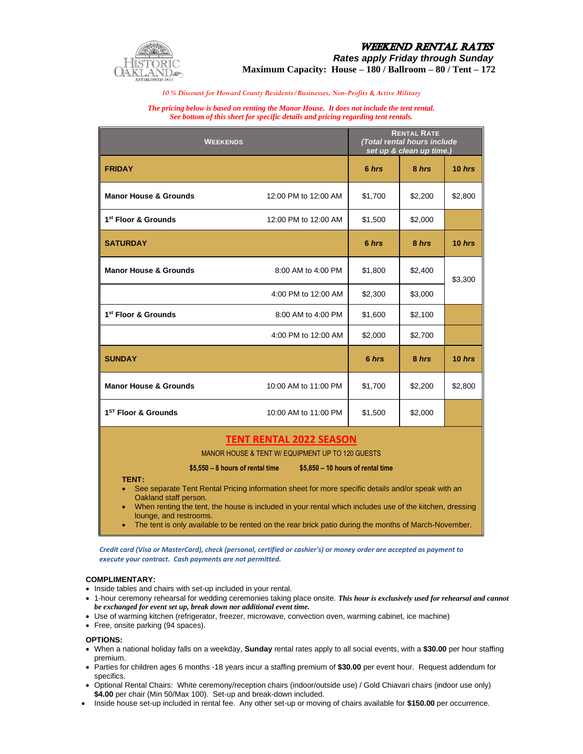

# **WEEKEND RENTAL RATES** *Rates apply Friday through Sunday*

**Maximum Capacity: House – 180 / Ballroom – 80 / Tent – 172**

*10 % Discount for Howard County Residents/Businesses, Non-Profits & Active Military*

#### *The pricing below is based on renting the Manor House. It does not include the tent rental. See bottom of this sheet for specific details and pricing regarding tent rentals.*

| <b>WEEKENDS</b>                                                                                                                                              |                      | <b>RENTAL RATE</b><br>(Total rental hours include<br>set up & clean up time.) |         |          |
|--------------------------------------------------------------------------------------------------------------------------------------------------------------|----------------------|-------------------------------------------------------------------------------|---------|----------|
| <b>FRIDAY</b>                                                                                                                                                |                      | 6 hrs                                                                         | 8 hrs   | $10$ hrs |
| <b>Manor House &amp; Grounds</b>                                                                                                                             | 12:00 PM to 12:00 AM | \$1,700                                                                       | \$2,200 | \$2,800  |
| 1 <sup>st</sup> Floor & Grounds                                                                                                                              | 12:00 PM to 12:00 AM | \$1,500                                                                       | \$2,000 |          |
| <b>SATURDAY</b>                                                                                                                                              |                      | 6 hrs                                                                         | 8 hrs   | 10 hrs   |
| <b>Manor House &amp; Grounds</b>                                                                                                                             | 8:00 AM to 4:00 PM   | \$1,800                                                                       | \$2,400 | \$3,300  |
|                                                                                                                                                              | 4:00 PM to 12:00 AM  | \$2,300                                                                       | \$3,000 |          |
| 1 <sup>st</sup> Floor & Grounds                                                                                                                              | 8:00 AM to 4:00 PM   | \$1,600                                                                       | \$2,100 |          |
|                                                                                                                                                              | 4:00 PM to 12:00 AM  | \$2,000                                                                       | \$2,700 |          |
| <b>SUNDAY</b>                                                                                                                                                |                      | 6 hrs                                                                         | 8 hrs   | $10$ hrs |
| <b>Manor House &amp; Grounds</b>                                                                                                                             | 10:00 AM to 11:00 PM | \$1,700                                                                       | \$2,200 | \$2,800  |
| 1 <sup>ST</sup> Floor & Grounds                                                                                                                              | 10:00 AM to 11:00 PM | \$1,500                                                                       | \$2,000 |          |
| <b>TENT RENTAL 2022 SEASON</b><br>MANOR HOUSE & TENT W/ EQUIPMENT UP TO 120 GUESTS<br>$$5,550 - 8$ hours of rental time<br>\$5,850 - 10 hours of rental time |                      |                                                                               |         |          |

#### **TENT:**

- See separate Tent Rental Pricing information sheet for more specific details and/or speak with an Oakland staff person.
- When renting the tent, the house is included in your rental which includes use of the kitchen, dressing lounge, and restrooms.
- The tent is only available to be rented on the rear brick patio during the months of March-November.

 *Credit card (Visa or MasterCard), check (personal, certified or cashier's) or money order are accepted as payment to execute your contract. Cash payments are not permitted.*

#### **COMPLIMENTARY:**

- Inside tables and chairs with set-up included in your rental.
- 1-hour ceremony rehearsal for wedding ceremonies taking place onsite. *This hour is exclusively used for rehearsal and cannot be exchanged for event set up, break down nor additional event time.*
- Use of warming kitchen (refrigerator, freezer, microwave, convection oven, warming cabinet, ice machine)
- Free, onsite parking (94 spaces).

#### **OPTIONS:**

- When a national holiday falls on a weekday, **Sunday** rental rates apply to all social events, with a **\$30.00** per hour staffing premium.
- Parties for children ages 6 months -18 years incur a staffing premium of **\$30.00** per event hour. Request addendum for specifics.
- Optional Rental Chairs: White ceremony/reception chairs (indoor/outside use) / Gold Chiavari chairs (indoor use only) **\$4.00** per chair (Min 50/Max 100). Set-up and break-down included.
- Inside house set-up included in rental fee. Any other set-up or moving of chairs available for **\$150.00** per occurrence.